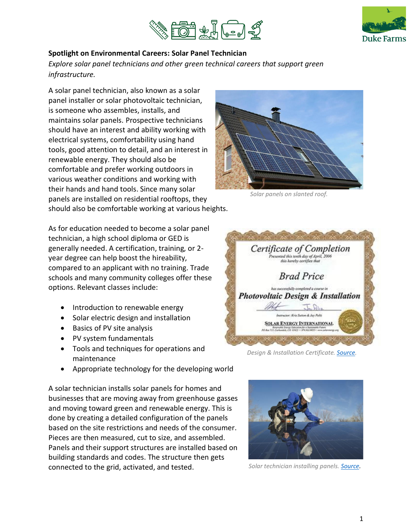



## **Spotlight on Environmental Careers: Solar Panel Technician**

*Explore solar panel technicians and other green technical careers that support green infrastructure.*

A solar panel technician, also known as a solar panel installer or solar photovoltaic technician, is someone who assembles, installs, and maintains solar panels. Prospective technicians should have an interest and ability working with electrical systems, comfortability using hand tools, good attention to detail, and an interest in renewable energy. They should also be comfortable and prefer working outdoors in various weather conditions and working with their hands and hand tools. Since many solar panels are installed on residential rooftops, they should also be comfortable working at various heights.

As for education needed to become a solar panel technician, a high school diploma or GED is generally needed. A certification, training, or 2 year degree can help boost the hireability, compared to an applicant with no training. Trade schools and many community colleges offer these options. Relevant classes include:

- Introduction to renewable energy
- Solar electric design and installation
- Basics of PV site analysis
- PV system fundamentals
- Tools and techniques for operations and maintenance
- Appropriate technology for the developing world

A solar technician installs solar panels for homes and businesses that are moving away from greenhouse gasses and moving toward green and renewable energy. This is done by creating a detailed configuration of the panels based on the site restrictions and needs of the consumer. Pieces are then measured, cut to size, and assembled. Panels and their support structures are installed based on building standards and codes. The structure then gets connected to the grid, activated, and tested.



*Solar panels on slanted roof.*



*Design & Installation Certificate[. Source.](http://valley-solar.com/about-us/certifications)*



*Solar technician installing panels. [Source.](http://topherdonahue.com/energy)*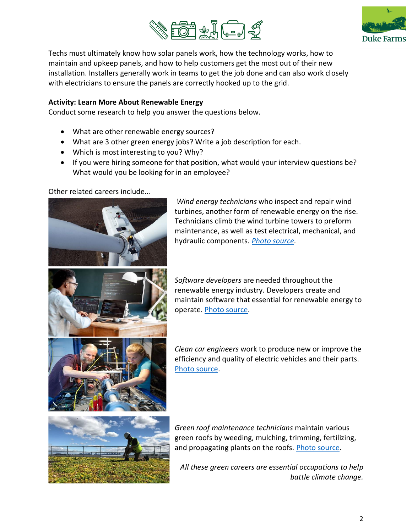



Techs must ultimately know how solar panels work, how the technology works, how to maintain and upkeep panels, and how to help customers get the most out of their new installation. Installers generally work in teams to get the job done and can also work closely with electricians to ensure the panels are correctly hooked up to the grid.

## **Activity: Learn More About Renewable Energy**

Conduct some research to help you answer the questions below.

- What are other renewable energy sources?
- What are 3 other green energy jobs? Write a job description for each.
- Which is most interesting to you? Why?
- If you were hiring someone for that position, what would your interview questions be? What would you be looking for in an employee?

Other related careers include…



*Wind energy technicians* who inspect and repair wind turbines, another form of renewable energy on the rise. Technicians climb the wind turbine towers to preform maintenance, as well as test electrical, mechanical, and hydraulic components*. [Photo source.](https://www.desmoinesregister.com/story/money/business/2018/04/24/wind-turbine-technician-jobs-iowa-high-demand/521139002/)* 

*Software developers* are needed throughout the renewable energy industry. Developers create and maintain software that essential for renewable energy to operate. [Photo source.](https://www.independence.edu/blog/how-to-software-developer)

*Clean car engineers* work to produce new or improve the efficiency and quality of electric vehicles and their parts. [Photo source.](https://www.asme.org/topics-resources/content/future-battery-the-electric-car)

*Green roof maintenance technicians* maintain various green roofs by weeding, mulching, trimming, fertilizing, and propagating plants on the roofs. [Photo source.](https://www.sempergreen.com/us/solutions/green-roofs/maintaining)

*All these green careers are essential occupations to help battle climate change.*